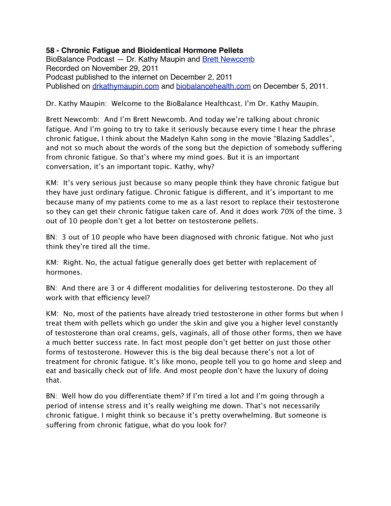## **58 - Chronic Fatigue and Bioidentical Hormone Pellets**

BioBalance Podcast - Dr. Kathy Maupin and [Brett Newcomb](http://brettnewcomb.com) Recorded on November 29, 2011 Podcast published to the internet on December 2, 2011 Published on [drkathymaupin.com](http://drkathymaupin.com/) and [biobalancehealth.com](http://www.biobalancehealth.com/about/podcast-2/) on December 5, 2011.

Dr. Kathy Maupin: Welcome to the BioBalance Healthcast. I'm Dr. Kathy Maupin.

Brett Newcomb: And I'm Brett Newcomb. And today we're talking about chronic fatigue. And I'm going to try to take it seriously because every time I hear the phrase chronic fatigue, I think about the Madelyn Kahn song in the movie "Blazing Saddles", and not so much about the words of the song but the depiction of somebody suffering from chronic fatigue. So that's where my mind goes. But it is an important conversation, it's an important topic. Kathy, why?

KM: It's very serious just because so many people think they have chronic fatigue but they have just ordinary fatigue. Chronic fatigue is different, and it's important to me because many of my patients come to me as a last resort to replace their testosterone so they can get their chronic fatigue taken care of. And it does work 70% of the time. 3 out of 10 people don't get a lot better on testosterone pellets.

BN: 3 out of 10 people who have been diagnosed with chronic fatigue. Not who just think they're tired all the time.

KM: Right. No, the actual fatigue generally does get better with replacement of hormones.

BN: And there are 3 or 4 different modalities for delivering testosterone. Do they all work with that efficiency level?

KM: No, most of the patients have already tried testosterone in other forms but when I treat them with pellets which go under the skin and give you a higher level constantly of testosterone than oral creams, gels, vaginals, all of those other forms, then we have a much better success rate. In fact most people don't get better on just those other forms of testosterone. However this is the big deal because there's not a lot of treatment for chronic fatigue. It's like mono, people tell you to go home and sleep and eat and basically check out of life. And most people don't have the luxury of doing that.

BN: Well how do you differentiate them? If I'm tired a lot and I'm going through a period of intense stress and it's really weighing me down. That's not necessarily chronic fatigue. I might think so because it's pretty overwhelming. But someone is suffering from chronic fatigue, what do you look for?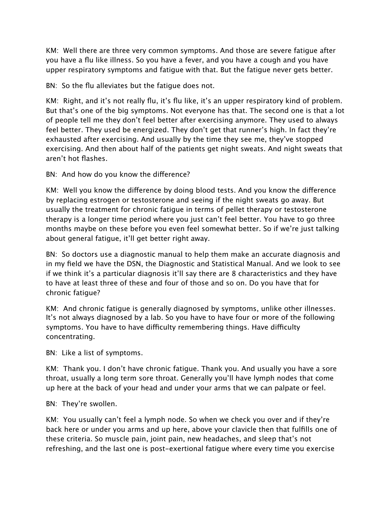KM: Well there are three very common symptoms. And those are severe fatigue after you have a flu like illness. So you have a fever, and you have a cough and you have upper respiratory symptoms and fatigue with that. But the fatigue never gets better.

BN: So the flu alleviates but the fatigue does not.

KM: Right, and it's not really flu, it's flu like, it's an upper respiratory kind of problem. But that's one of the big symptoms. Not everyone has that. The second one is that a lot of people tell me they don't feel better after exercising anymore. They used to always feel better. They used be energized. They don't get that runner's high. In fact they're exhausted after exercising. And usually by the time they see me, they've stopped exercising. And then about half of the patients get night sweats. And night sweats that aren't hot flashes.

BN: And how do you know the difference?

KM: Well you know the difference by doing blood tests. And you know the difference by replacing estrogen or testosterone and seeing if the night sweats go away. But usually the treatment for chronic fatigue in terms of pellet therapy or testosterone therapy is a longer time period where you just can't feel better. You have to go three months maybe on these before you even feel somewhat better. So if we're just talking about general fatigue, it'll get better right away.

BN: So doctors use a diagnostic manual to help them make an accurate diagnosis and in my field we have the DSN, the Diagnostic and Statistical Manual. And we look to see if we think it's a particular diagnosis it'll say there are 8 characteristics and they have to have at least three of these and four of those and so on. Do you have that for chronic fatigue?

KM: And chronic fatigue is generally diagnosed by symptoms, unlike other illnesses. It's not always diagnosed by a lab. So you have to have four or more of the following symptoms. You have to have difficulty remembering things. Have difficulty concentrating.

BN: Like a list of symptoms.

KM: Thank you. I don't have chronic fatigue. Thank you. And usually you have a sore throat, usually a long term sore throat. Generally you'll have lymph nodes that come up here at the back of your head and under your arms that we can palpate or feel.

BN: They're swollen.

KM: You usually can't feel a lymph node. So when we check you over and if they're back here or under you arms and up here, above your clavicle then that fulfills one of these criteria. So muscle pain, joint pain, new headaches, and sleep that's not refreshing, and the last one is post-exertional fatigue where every time you exercise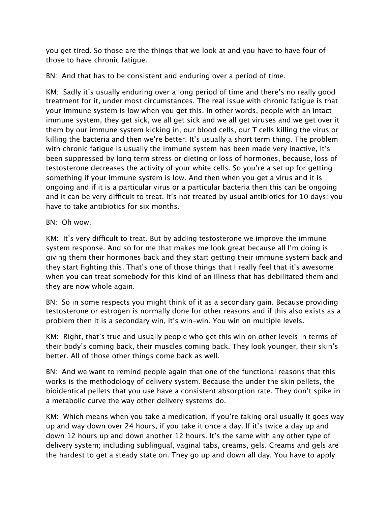you get tired. So those are the things that we look at and you have to have four of those to have chronic fatigue.

BN: And that has to be consistent and enduring over a period of time.

KM: Sadly it's usually enduring over a long period of time and there's no really good treatment for it, under most circumstances. The real issue with chronic fatigue is that your immune system is low when you get this. In other words, people with an intact immune system, they get sick, we all get sick and we all get viruses and we get over it them by our immune system kicking in, our blood cells, our T cells killing the virus or killing the bacteria and then we're better. It's usually a short term thing. The problem with chronic fatigue is usually the immune system has been made very inactive, it's been suppressed by long term stress or dieting or loss of hormones, because, loss of testosterone decreases the activity of your white cells. So you're a set up for getting something if your immune system is low. And then when you get a virus and it is ongoing and if it is a particular virus or a particular bacteria then this can be ongoing and it can be very difficult to treat. It's not treated by usual antibiotics for 10 days; you have to take antibiotics for six months.

## BN: Oh wow.

KM: It's very difficult to treat. But by adding testosterone we improve the immune system response. And so for me that makes me look great because all I'm doing is giving them their hormones back and they start getting their immune system back and they start fighting this. That's one of those things that I really feel that it's awesome when you can treat somebody for this kind of an illness that has debilitated them and they are now whole again.

BN: So in some respects you might think of it as a secondary gain. Because providing testosterone or estrogen is normally done for other reasons and if this also exists as a problem then it is a secondary win, it's win-win. You win on multiple levels.

KM: Right, that's true and usually people who get this win on other levels in terms of their body's coming back, their muscles coming back. They look younger, their skin's better. All of those other things come back as well.

BN: And we want to remind people again that one of the functional reasons that this works is the methodology of delivery system. Because the under the skin pellets, the bioidentical pellets that you use have a consistent absorption rate. They don't spike in a metabolic curve the way other delivery systems do.

KM: Which means when you take a medication, if you're taking oral usually it goes way up and way down over 24 hours, if you take it once a day. If it's twice a day up and down 12 hours up and down another 12 hours. It's the same with any other type of delivery system; including sublingual, vaginal tabs, creams, gels. Creams and gels are the hardest to get a steady state on. They go up and down all day. You have to apply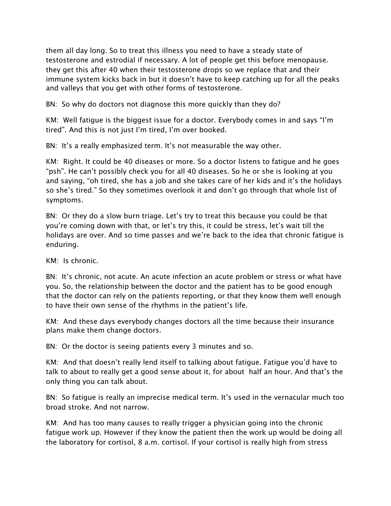them all day long. So to treat this illness you need to have a steady state of testosterone and estrodial if necessary. A lot of people get this before menopause. they get this after 40 when their testosterone drops so we replace that and their immune system kicks back in but it doesn't have to keep catching up for all the peaks and valleys that you get with other forms of testosterone.

BN: So why do doctors not diagnose this more quickly than they do?

KM: Well fatigue is the biggest issue for a doctor. Everybody comes in and says "I'm tired". And this is not just I'm tired, I'm over booked.

BN: It's a really emphasized term. It's not measurable the way other.

KM: Right. It could be 40 diseases or more. So a doctor listens to fatigue and he goes "psh". He can't possibly check you for all 40 diseases. So he or she is looking at you and saying, "oh tired, she has a job and she takes care of her kids and it's the holidays so she's tired." So they sometimes overlook it and don't go through that whole list of symptoms.

BN: Or they do a slow burn triage. Let's try to treat this because you could be that you're coming down with that, or let's try this, it could be stress, let's wait till the holidays are over. And so time passes and we're back to the idea that chronic fatigue is enduring.

KM: Is chronic.

BN: It's chronic, not acute. An acute infection an acute problem or stress or what have you. So, the relationship between the doctor and the patient has to be good enough that the doctor can rely on the patients reporting, or that they know them well enough to have their own sense of the rhythms in the patient's life.

KM: And these days everybody changes doctors all the time because their insurance plans make them change doctors.

BN: Or the doctor is seeing patients every 3 minutes and so.

KM: And that doesn't really lend itself to talking about fatigue. Fatigue you'd have to talk to about to really get a good sense about it, for about half an hour. And that's the only thing you can talk about.

BN: So fatigue is really an imprecise medical term. It's used in the vernacular much too broad stroke. And not narrow.

KM: And has too many causes to really trigger a physician going into the chronic fatigue work up. However if they know the patient then the work up would be doing all the laboratory for cortisol, 8 a.m. cortisol. If your cortisol is really high from stress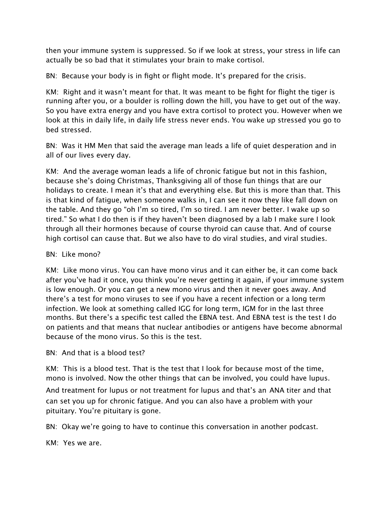then your immune system is suppressed. So if we look at stress, your stress in life can actually be so bad that it stimulates your brain to make cortisol.

BN: Because your body is in fight or flight mode. It's prepared for the crisis.

KM: Right and it wasn't meant for that. It was meant to be fight for flight the tiger is running after you, or a boulder is rolling down the hill, you have to get out of the way. So you have extra energy and you have extra cortisol to protect you. However when we look at this in daily life, in daily life stress never ends. You wake up stressed you go to bed stressed.

BN: Was it HM Men that said the average man leads a life of quiet desperation and in all of our lives every day.

KM: And the average woman leads a life of chronic fatigue but not in this fashion, because she's doing Christmas, Thanksgiving all of those fun things that are our holidays to create. I mean it's that and everything else. But this is more than that. This is that kind of fatigue, when someone walks in, I can see it now they like fall down on the table. And they go "oh I'm so tired, I'm so tired. I am never better. I wake up so tired." So what I do then is if they haven't been diagnosed by a lab I make sure I look through all their hormones because of course thyroid can cause that. And of course high cortisol can cause that. But we also have to do viral studies, and viral studies.

## BN: Like mono?

KM: Like mono virus. You can have mono virus and it can either be, it can come back after you've had it once, you think you're never getting it again, if your immune system is low enough. Or you can get a new mono virus and then it never goes away. And there's a test for mono viruses to see if you have a recent infection or a long term infection. We look at something called IGG for long term, IGM for in the last three months. But there's a specific test called the EBNA test. And EBNA test is the test I do on patients and that means that nuclear antibodies or antigens have become abnormal because of the mono virus. So this is the test.

BN: And that is a blood test?

KM: This is a blood test. That is the test that I look for because most of the time, mono is involved. Now the other things that can be involved, you could have lupus.

And treatment for lupus or not treatment for lupus and that's an ANA titer and that can set you up for chronic fatigue. And you can also have a problem with your pituitary. You're pituitary is gone.

BN: Okay we're going to have to continue this conversation in another podcast.

KM: Yes we are.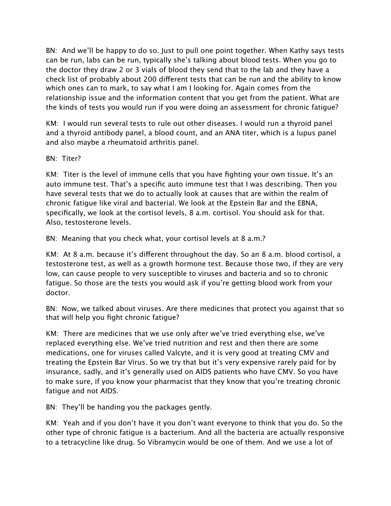BN: And we'll be happy to do so. Just to pull one point together. When Kathy says tests can be run, labs can be run, typically she's talking about blood tests. When you go to the doctor they draw 2 or 3 vials of blood they send that to the lab and they have a check list of probably about 200 different tests that can be run and the ability to know which ones can to mark, to say what I am I looking for. Again comes from the relationship issue and the information content that you get from the patient. What are the kinds of tests you would run if you were doing an assessment for chronic fatigue?

KM: I would run several tests to rule out other diseases. I would run a thyroid panel and a thyroid antibody panel, a blood count, and an ANA titer, which is a lupus panel and also maybe a rheumatoid arthritis panel.

BN: Titer?

KM: Titer is the level of immune cells that you have fighting your own tissue. It's an auto immune test. That's a specific auto immune test that I was describing. Then you have several tests that we do to actually look at causes that are within the realm of chronic fatigue like viral and bacterial. We look at the Epstein Bar and the EBNA, specifically, we look at the cortisol levels, 8 a.m. cortisol. You should ask for that. Also, testosterone levels.

BN: Meaning that you check what, your cortisol levels at 8 a.m.?

KM: At 8 a.m. because it's different throughout the day. So an 8 a.m. blood cortisol, a testosterone test, as well as a growth hormone test. Because those two, if they are very low, can cause people to very susceptible to viruses and bacteria and so to chronic fatigue. So those are the tests you would ask if you're getting blood work from your doctor.

BN: Now, we talked about viruses. Are there medicines that protect you against that so that will help you fight chronic fatigue?

KM: There are medicines that we use only after we've tried everything else, we've replaced everything else. We've tried nutrition and rest and then there are some medications, one for viruses called Valcyte, and it is very good at treating CMV and treating the Epstein Bar Virus. So we try that but it's very expensive rarely paid for by insurance, sadly, and it's generally used on AIDS patients who have CMV. So you have to make sure, if you know your pharmacist that they know that you're treating chronic fatigue and not AIDS.

BN: They'll be handing you the packages gently.

KM: Yeah and if you don't have it you don't want everyone to think that you do. So the other type of chronic fatigue is a bacterium. And all the bacteria are actually responsive to a tetracycline like drug. So Vibramycin would be one of them. And we use a lot of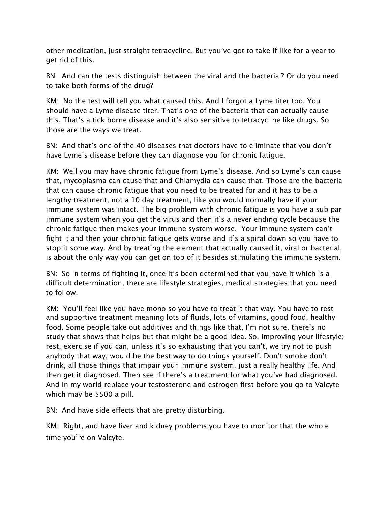other medication, just straight tetracycline. But you've got to take if like for a year to get rid of this.

BN: And can the tests distinguish between the viral and the bacterial? Or do you need to take both forms of the drug?

KM: No the test will tell you what caused this. And I forgot a Lyme titer too. You should have a Lyme disease titer. That's one of the bacteria that can actually cause this. That's a tick borne disease and it's also sensitive to tetracycline like drugs. So those are the ways we treat.

BN: And that's one of the 40 diseases that doctors have to eliminate that you don't have Lyme's disease before they can diagnose you for chronic fatigue.

KM: Well you may have chronic fatigue from Lyme's disease. And so Lyme's can cause that, mycoplasma can cause that and Chlamydia can cause that. Those are the bacteria that can cause chronic fatigue that you need to be treated for and it has to be a lengthy treatment, not a 10 day treatment, like you would normally have if your immune system was intact. The big problem with chronic fatigue is you have a sub par immune system when you get the virus and then it's a never ending cycle because the chronic fatigue then makes your immune system worse. Your immune system can't fight it and then your chronic fatigue gets worse and it's a spiral down so you have to stop it some way. And by treating the element that actually caused it, viral or bacterial, is about the only way you can get on top of it besides stimulating the immune system.

BN: So in terms of fighting it, once it's been determined that you have it which is a difficult determination, there are lifestyle strategies, medical strategies that you need to follow.

KM: You'll feel like you have mono so you have to treat it that way. You have to rest and supportive treatment meaning lots of fluids, lots of vitamins, good food, healthy food. Some people take out additives and things like that, I'm not sure, there's no study that shows that helps but that might be a good idea. So, improving your lifestyle; rest, exercise if you can, unless it's so exhausting that you can't, we try not to push anybody that way, would be the best way to do things yourself. Don't smoke don't drink, all those things that impair your immune system, just a really healthy life. And then get it diagnosed. Then see if there's a treatment for what you've had diagnosed. And in my world replace your testosterone and estrogen first before you go to Valcyte which may be \$500 a pill.

BN: And have side effects that are pretty disturbing.

KM: Right, and have liver and kidney problems you have to monitor that the whole time you're on Valcyte.